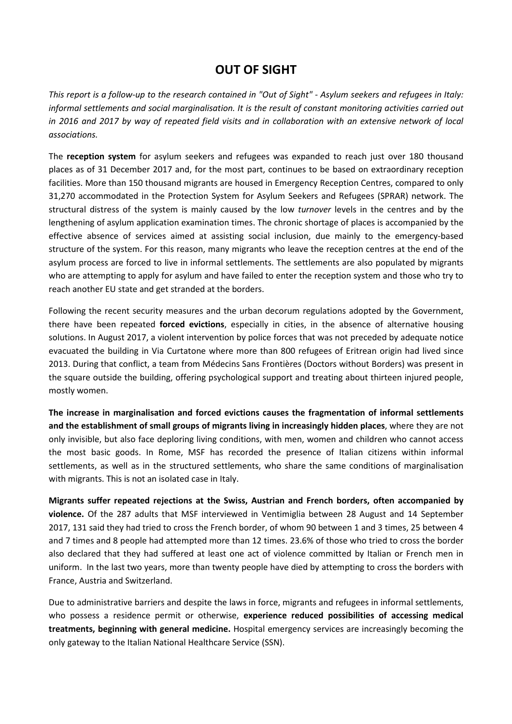# **OUT OF SIGHT**

*This report is a follow-up to the research contained in "Out of Sight" - Asylum seekers and refugees in Italy: informal settlements and social marginalisation. It is the result of constant monitoring activities carried out in 2016 and 2017 by way of repeated field visits and in collaboration with an extensive network of local associations.* 

The **reception system** for asylum seekers and refugees was expanded to reach just over 180 thousand places as of 31 December 2017 and, for the most part, continues to be based on extraordinary reception facilities. More than 150 thousand migrants are housed in Emergency Reception Centres, compared to only 31,270 accommodated in the Protection System for Asylum Seekers and Refugees (SPRAR) network. The structural distress of the system is mainly caused by the low *turnover* levels in the centres and by the lengthening of asylum application examination times. The chronic shortage of places is accompanied by the effective absence of services aimed at assisting social inclusion, due mainly to the emergency-based structure of the system. For this reason, many migrants who leave the reception centres at the end of the asylum process are forced to live in informal settlements. The settlements are also populated by migrants who are attempting to apply for asylum and have failed to enter the reception system and those who try to reach another EU state and get stranded at the borders.

Following the recent security measures and the urban decorum regulations adopted by the Government, there have been repeated **forced evictions**, especially in cities, in the absence of alternative housing solutions. In August 2017, a violent intervention by police forces that was not preceded by adequate notice evacuated the building in Via Curtatone where more than 800 refugees of Eritrean origin had lived since 2013. During that conflict, a team from Médecins Sans Frontières (Doctors without Borders) was present in the square outside the building, offering psychological support and treating about thirteen injured people, mostly women.

**The increase in marginalisation and forced evictions causes the fragmentation of informal settlements and the establishment of small groups of migrants living in increasingly hidden places**, where they are not only invisible, but also face deploring living conditions, with men, women and children who cannot access the most basic goods. In Rome, MSF has recorded the presence of Italian citizens within informal settlements, as well as in the structured settlements, who share the same conditions of marginalisation with migrants. This is not an isolated case in Italy.

**Migrants suffer repeated rejections at the Swiss, Austrian and French borders, often accompanied by violence.** Of the 287 adults that MSF interviewed in Ventimiglia between 28 August and 14 September 2017, 131 said they had tried to cross the French border, of whom 90 between 1 and 3 times, 25 between 4 and 7 times and 8 people had attempted more than 12 times. 23.6% of those who tried to cross the border also declared that they had suffered at least one act of violence committed by Italian or French men in uniform. In the last two years, more than twenty people have died by attempting to cross the borders with France, Austria and Switzerland.

Due to administrative barriers and despite the laws in force, migrants and refugees in informal settlements, who possess a residence permit or otherwise, **experience reduced possibilities of accessing medical treatments, beginning with general medicine.** Hospital emergency services are increasingly becoming the only gateway to the Italian National Healthcare Service (SSN).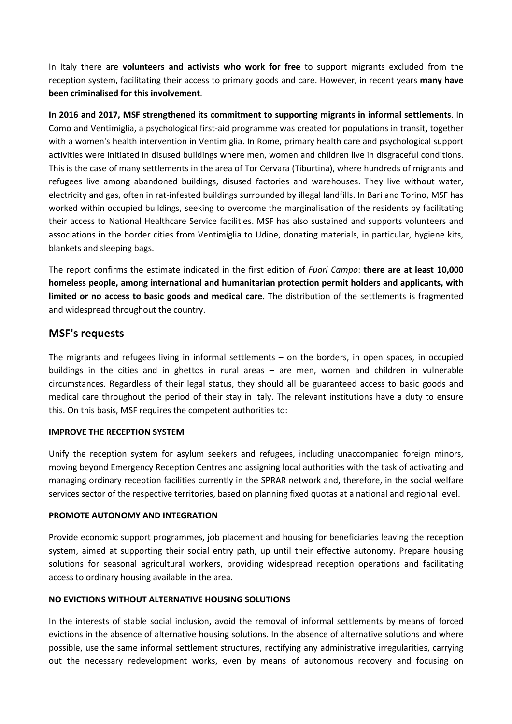In Italy there are **volunteers and activists who work for free** to support migrants excluded from the reception system, facilitating their access to primary goods and care. However, in recent years **many have been criminalised for this involvement**.

**In 2016 and 2017, MSF strengthened its commitment to supporting migrants in informal settlements**. In Como and Ventimiglia, a psychological first-aid programme was created for populations in transit, together with a women's health intervention in Ventimiglia. In Rome, primary health care and psychological support activities were initiated in disused buildings where men, women and children live in disgraceful conditions. This is the case of many settlements in the area of Tor Cervara (Tiburtina), where hundreds of migrants and refugees live among abandoned buildings, disused factories and warehouses. They live without water, electricity and gas, often in rat-infested buildings surrounded by illegal landfills. In Bari and Torino, MSF has worked within occupied buildings, seeking to overcome the marginalisation of the residents by facilitating their access to National Healthcare Service facilities. MSF has also sustained and supports volunteers and associations in the border cities from Ventimiglia to Udine, donating materials, in particular, hygiene kits, blankets and sleeping bags.

The report confirms the estimate indicated in the first edition of *Fuori Campo*: **there are at least 10,000 homeless people, among international and humanitarian protection permit holders and applicants, with limited or no access to basic goods and medical care.** The distribution of the settlements is fragmented and widespread throughout the country.

# **MSF's requests**

The migrants and refugees living in informal settlements – on the borders, in open spaces, in occupied buildings in the cities and in ghettos in rural areas – are men, women and children in vulnerable circumstances. Regardless of their legal status, they should all be guaranteed access to basic goods and medical care throughout the period of their stay in Italy. The relevant institutions have a duty to ensure this. On this basis, MSF requires the competent authorities to:

# **IMPROVE THE RECEPTION SYSTEM**

Unify the reception system for asylum seekers and refugees, including unaccompanied foreign minors, moving beyond Emergency Reception Centres and assigning local authorities with the task of activating and managing ordinary reception facilities currently in the SPRAR network and, therefore, in the social welfare services sector of the respective territories, based on planning fixed quotas at a national and regional level.

# **PROMOTE AUTONOMY AND INTEGRATION**

Provide economic support programmes, job placement and housing for beneficiaries leaving the reception system, aimed at supporting their social entry path, up until their effective autonomy. Prepare housing solutions for seasonal agricultural workers, providing widespread reception operations and facilitating access to ordinary housing available in the area.

# **NO EVICTIONS WITHOUT ALTERNATIVE HOUSING SOLUTIONS**

In the interests of stable social inclusion, avoid the removal of informal settlements by means of forced evictions in the absence of alternative housing solutions. In the absence of alternative solutions and where possible, use the same informal settlement structures, rectifying any administrative irregularities, carrying out the necessary redevelopment works, even by means of autonomous recovery and focusing on